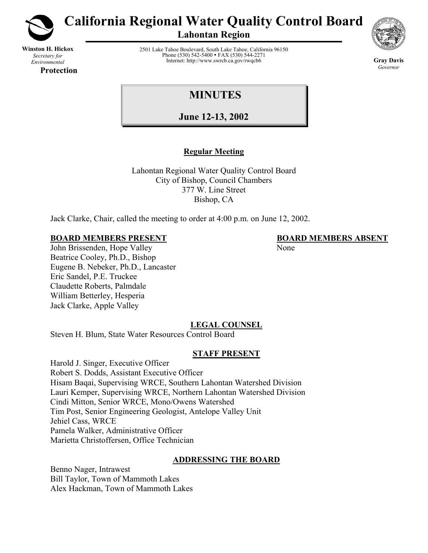

**Winston H. Hickox** *Secretary for Environmental* 

**Protection** 

**California Regional Water Quality Control Board** 

**Lahontan Region** 



**Gray Davis** *Governor* 

2501 Lake Tahoe Boulevard, South Lake Tahoe, California 96150 Phone (530) 542-5400 • FAX (530) 544-2271 Internet: http://www.swrcb.ca.gov/rwqcb6

# **MINUTES**

**June 12-13, 2002**

# **Regular Meeting**

Lahontan Regional Water Quality Control Board City of Bishop, Council Chambers 377 W. Line Street Bishop, CA

Jack Clarke, Chair, called the meeting to order at 4:00 p.m. on June 12, 2002.

## **BOARD MEMBERS PRESENT BOARD MEMBERS ABSENT**

John Brissenden, Hope Valley None Beatrice Cooley, Ph.D., Bishop Eugene B. Nebeker, Ph.D., Lancaster Eric Sandel, P.E. Truckee Claudette Roberts, Palmdale William Betterley, Hesperia Jack Clarke, Apple Valley

## **LEGAL COUNSEL**

Steven H. Blum, State Water Resources Control Board

## **STAFF PRESENT**

Harold J. Singer, Executive Officer Robert S. Dodds, Assistant Executive Officer Hisam Baqai, Supervising WRCE, Southern Lahontan Watershed Division Lauri Kemper, Supervising WRCE, Northern Lahontan Watershed Division Cindi Mitton, Senior WRCE, Mono/Owens Watershed Tim Post, Senior Engineering Geologist, Antelope Valley Unit Jehiel Cass, WRCE Pamela Walker, Administrative Officer Marietta Christoffersen, Office Technician

## **ADDRESSING THE BOARD**

Benno Nager, Intrawest Bill Taylor, Town of Mammoth Lakes Alex Hackman, Town of Mammoth Lakes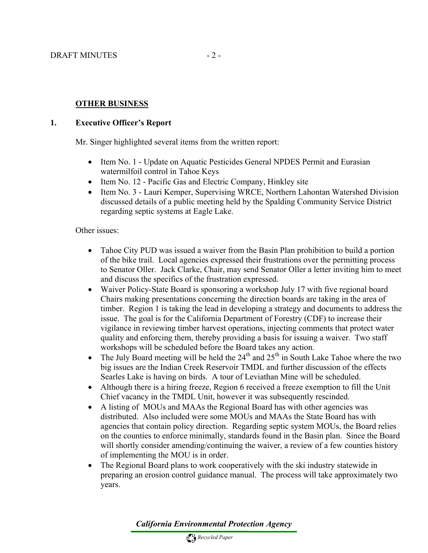## **OTHER BUSINESS**

#### **1. Executive Officer's Report**

Mr. Singer highlighted several items from the written report:

- Item No. 1 Update on Aquatic Pesticides General NPDES Permit and Eurasian watermilfoil control in Tahoe Keys
- Item No. 12 Pacific Gas and Electric Company, Hinkley site
- Item No. 3 Lauri Kemper, Supervising WRCE, Northern Lahontan Watershed Division discussed details of a public meeting held by the Spalding Community Service District regarding septic systems at Eagle Lake.

#### Other issues:

- Tahoe City PUD was issued a waiver from the Basin Plan prohibition to build a portion of the bike trail. Local agencies expressed their frustrations over the permitting process to Senator Oller. Jack Clarke, Chair, may send Senator Oller a letter inviting him to meet and discuss the specifics of the frustration expressed.
- Waiver Policy-State Board is sponsoring a workshop July 17 with five regional board Chairs making presentations concerning the direction boards are taking in the area of timber. Region 1 is taking the lead in developing a strategy and documents to address the issue. The goal is for the California Department of Forestry (CDF) to increase their vigilance in reviewing timber harvest operations, injecting comments that protect water quality and enforcing them, thereby providing a basis for issuing a waiver. Two staff workshops will be scheduled before the Board takes any action.
- The July Board meeting will be held the  $24<sup>th</sup>$  and  $25<sup>th</sup>$  in South Lake Tahoe where the two big issues are the Indian Creek Reservoir TMDL and further discussion of the effects Searles Lake is having on birds. A tour of Leviathan Mine will be scheduled.
- Although there is a hiring freeze, Region 6 received a freeze exemption to fill the Unit Chief vacancy in the TMDL Unit, however it was subsequently rescinded.
- A listing of MOUs and MAAs the Regional Board has with other agencies was distributed. Also included were some MOUs and MAAs the State Board has with agencies that contain policy direction. Regarding septic system MOUs, the Board relies on the counties to enforce minimally, standards found in the Basin plan. Since the Board will shortly consider amending/continuing the waiver, a review of a few counties history of implementing the MOU is in order.
- The Regional Board plans to work cooperatively with the ski industry statewide in preparing an erosion control guidance manual. The process will take approximately two years.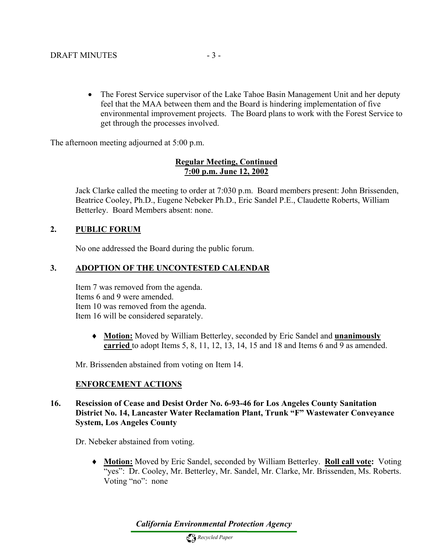• The Forest Service supervisor of the Lake Tahoe Basin Management Unit and her deputy feel that the MAA between them and the Board is hindering implementation of five environmental improvement projects. The Board plans to work with the Forest Service to get through the processes involved.

The afternoon meeting adjourned at 5:00 p.m.

## **Regular Meeting, Continued 7:00 p.m. June 12, 2002**

Jack Clarke called the meeting to order at 7:030 p.m. Board members present: John Brissenden, Beatrice Cooley, Ph.D., Eugene Nebeker Ph.D., Eric Sandel P.E., Claudette Roberts, William Betterley. Board Members absent: none.

## **2. PUBLIC FORUM**

No one addressed the Board during the public forum.

## **3. ADOPTION OF THE UNCONTESTED CALENDAR**

Item 7 was removed from the agenda. Items 6 and 9 were amended. Item 10 was removed from the agenda. Item 16 will be considered separately.

> ♦ **Motion:** Moved by William Betterley, seconded by Eric Sandel and **unanimously carried** to adopt Items 5, 8, 11, 12, 13, 14, 15 and 18 and Items 6 and 9 as amended.

Mr. Brissenden abstained from voting on Item 14.

## **ENFORCEMENT ACTIONS**

#### **16. Rescission of Cease and Desist Order No. 6-93-46 for Los Angeles County Sanitation District No. 14, Lancaster Water Reclamation Plant, Trunk "F" Wastewater Conveyance System, Los Angeles County**

Dr. Nebeker abstained from voting.

♦ **Motion:** Moved by Eric Sandel, seconded by William Betterley. **Roll call vote:** Voting "yes": Dr. Cooley, Mr. Betterley, Mr. Sandel, Mr. Clarke, Mr. Brissenden, Ms. Roberts. Voting "no": none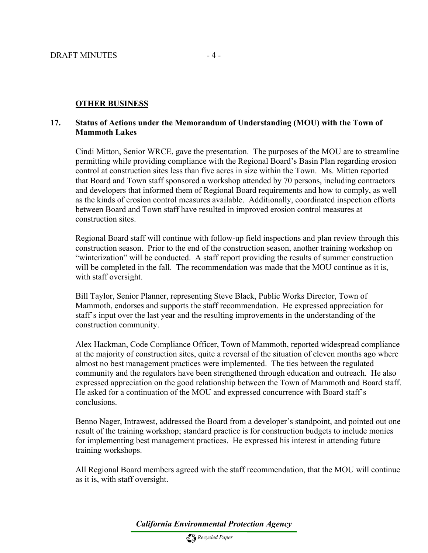#### **OTHER BUSINESS**

#### **17. Status of Actions under the Memorandum of Understanding (MOU) with the Town of Mammoth Lakes**

Cindi Mitton, Senior WRCE, gave the presentation. The purposes of the MOU are to streamline permitting while providing compliance with the Regional Board's Basin Plan regarding erosion control at construction sites less than five acres in size within the Town. Ms. Mitten reported that Board and Town staff sponsored a workshop attended by 70 persons, including contractors and developers that informed them of Regional Board requirements and how to comply, as well as the kinds of erosion control measures available. Additionally, coordinated inspection efforts between Board and Town staff have resulted in improved erosion control measures at construction sites.

Regional Board staff will continue with follow-up field inspections and plan review through this construction season. Prior to the end of the construction season, another training workshop on "winterization" will be conducted. A staff report providing the results of summer construction will be completed in the fall. The recommendation was made that the MOU continue as it is, with staff oversight.

Bill Taylor, Senior Planner, representing Steve Black, Public Works Director, Town of Mammoth, endorses and supports the staff recommendation. He expressed appreciation for staff's input over the last year and the resulting improvements in the understanding of the construction community.

Alex Hackman, Code Compliance Officer, Town of Mammoth, reported widespread compliance at the majority of construction sites, quite a reversal of the situation of eleven months ago where almost no best management practices were implemented. The ties between the regulated community and the regulators have been strengthened through education and outreach. He also expressed appreciation on the good relationship between the Town of Mammoth and Board staff. He asked for a continuation of the MOU and expressed concurrence with Board staff's conclusions.

Benno Nager, Intrawest, addressed the Board from a developer's standpoint, and pointed out one result of the training workshop; standard practice is for construction budgets to include monies for implementing best management practices. He expressed his interest in attending future training workshops.

All Regional Board members agreed with the staff recommendation, that the MOU will continue as it is, with staff oversight.